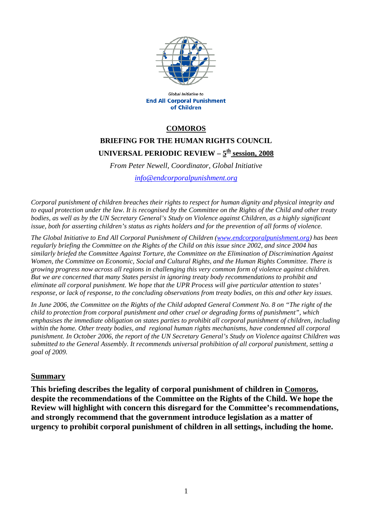

Global Initiative to **End All Corporal Punishment** of Children

### **COMOROS**

# **BRIEFING FOR THE HUMAN RIGHTS COUNCIL**  UNIVERSAL PERIODIC REVIEW -  $5^{\underline{th}}$  session, 2008

*From Peter Newell, Coordinator, Global Initiative [info@endcorporalpunishment.org](mailto:info@endcorporalpunishment.org)*

*Corporal punishment of children breaches their rights to respect for human dignity and physical integrity and to equal protection under the law. It is recognised by the Committee on the Rights of the Child and other treaty*  bodies, as well as by the UN Secretary General's Study on Violence against Children, as a highly significant *issue, both for asserting children's status as rights holders and for the prevention of all forms of violence.* 

*The Global Initiative to End All Corporal Punishment of Children [\(www.endcorporalpunishment.org](http://www.endcorporalpunishment.org/)) has been regularly briefing the Committee on the Rights of the Child on this issue since 2002, and since 2004 has similarly briefed the Committee Against Torture, the Committee on the Elimination of Discrimination Against Women, the Committee on Economic, Social and Cultural Rights, and the Human Rights Committee. There is growing progress now across all regions in challenging this very common form of violence against children. But we are concerned that many States persist in ignoring treaty body recommendations to prohibit and eliminate all corporal punishment. We hope that the UPR Process will give particular attention to states' response, or lack of response, to the concluding observations from treaty bodies, on this and other key issues.* 

*In June 2006, the Committee on the Rights of the Child adopted General Comment No. 8 on "The right of the child to protection from corporal punishment and other cruel or degrading forms of punishment", which emphasises the immediate obligation on states parties to prohibit all corporal punishment of children, including within the home. Other treaty bodies, and regional human rights mechanisms, have condemned all corporal punishment. In October 2006, the report of the UN Secretary General's Study on Violence against Children was submitted to the General Assembly. It recommends universal prohibition of all corporal punishment, setting a goal of 2009.*

#### **Summary**

**This briefing describes the legality of corporal punishment of children in Comoros, despite the recommendations of the Committee on the Rights of the Child. We hope the Review will highlight with concern this disregard for the Committee's recommendations, and strongly recommend that the government introduce legislation as a matter of urgency to prohibit corporal punishment of children in all settings, including the home.**